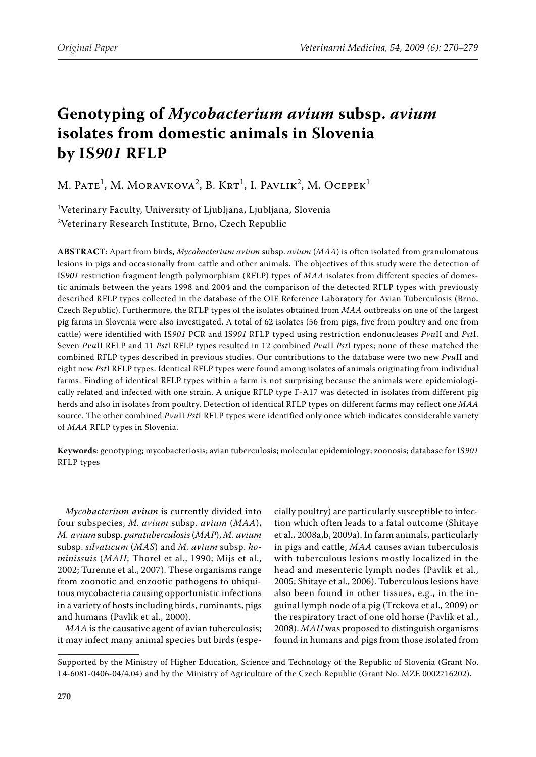# **Genotyping of** *Mycobacterium avium* **subsp.** *avium* **isolates from domestic animals in Slovenia by IS***901* **RFLP**

M. Pate<sup>1</sup>, M. Moravkova<sup>2</sup>, B. Krt<sup>1</sup>, I. Pavlik<sup>2</sup>, M. Ocepek<sup>1</sup>

1 Veterinary Faculty, University of Ljubljana, Ljubljana, Slovenia 2 Veterinary Research Institute, Brno, Czech Republic

**ABSTRACT**: Apart from birds, *Mycobacterium avium* subsp. *avium* (*MAA*) is often isolated from granulomatous lesions in pigs and occasionally from cattle and other animals. The objectives of this study were the detection of IS*901* restriction fragment length polymorphism (RFLP) types of *MAA* isolates from different species of domestic animals between the years 1998 and 2004 and the comparison of the detected RFLP types with previously described RFLP types collected in the database of the OIE Reference Laboratory for Avian Tuberculosis (Brno, Czech Republic). Furthermore, the RFLP types of the isolates obtained from *MAA* outbreaks on one of the largest pig farms in Slovenia were also investigated. A total of 62 isolates (56 from pigs, five from poultry and one from cattle) were identified with IS*901* PCR and IS*901* RFLP typed using restriction endonucleases *Pvu*II and *Pst*I. Seven *Pvu*II RFLP and 11 *Pst*I RFLP types resulted in 12 combined *Pvu*II *Pst*I types; none of these matched the combined RFLP types described in previous studies. Our contributions to the database were two new *Pvu*II and eight new *Pst*I RFLP types. Identical RFLP types were found among isolates of animals originating from individual farms. Finding of identical RFLP types within a farm is not surprising because the animals were epidemiologically related and infected with one strain. A unique RFLP type F-A17 was detected in isolates from different pig herds and also in isolates from poultry. Detection of identical RFLP types on different farms may reflect one *MAA* source. The other combined *Pvu*II *Pst*I RFLP types were identified only once which indicates considerable variety of *MAA* RFLP types in Slovenia.

**Keywords**: genotyping; mycobacteriosis; avian tuberculosis; molecular epidemiology; zoonosis; database for IS*901* RFLP types

*Mycobacterium avium* is currently divided into four subspecies, *M. avium* subsp. *avium* (*MAA*), *M. avium* subsp. *paratuberculosis* (*MAP*), *M. avium* subsp. *silvaticum* (*MAS*) and *M. avium* subsp. *hominissuis* (*MAH*; Thorel et al., 1990; Mijs et al., 2002; Turenne et al., 2007). These organisms range from zoonotic and enzootic pathogens to ubiquitous mycobacteria causing opportunistic infections in a variety of hosts including birds, ruminants, pigs and humans (Pavlik et al., 2000).

*MAA* is the causative agent of avian tuberculosis; it may infect many animal species but birds (espe-

cially poultry) are particularly susceptible to infection which often leads to a fatal outcome (Shitaye et al., 2008a,b, 2009a). In farm animals, particularly in pigs and cattle, *MAA* causes avian tuberculosis with tuberculous lesions mostly localized in the head and mesenteric lymph nodes (Pavlik et al., 2005; Shitaye et al., 2006). Tuberculous lesions have also been found in other tissues, e.g., in the inguinal lymph node of a pig (Trckova et al., 2009) or the respiratory tract of one old horse (Pavlik et al., 2008). *MAH* was proposed to distinguish organisms found in humans and pigs from those isolated from

Supported by the Ministry of Higher Education, Science and Technology of the Republic of Slovenia (Grant No. L4-6081-0406-04/4.04) and by the Ministry of Agriculture of the Czech Republic (Grant No. MZE 0002716202).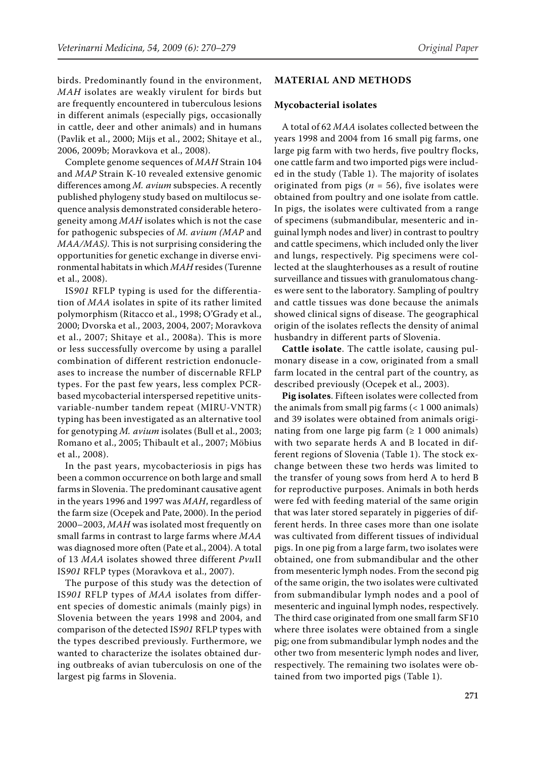birds. Predominantly found in the environment, *MAH* isolates are weakly virulent for birds but are frequently encountered in tuberculous lesions in different animals (especially pigs, occasionally in cattle, deer and other animals) and in humans (Pavlik et al., 2000; Mijs et al., 2002; Shitaye et al., 2006, 2009b; Moravkova et al., 2008).

Complete genome sequences of *MAH* Strain 104 and *MAP* Strain K-10 revealed extensive genomic differences among *M. avium* subspecies. A recently published phylogeny study based on multilocus sequence analysis demonstrated considerable heterogeneity among *MAH* isolates which is not the case for pathogenic subspecies of *M. avium (MAP* and *MAA/MAS)*. This is not surprising considering the opportunities for genetic exchange in diverse environmental habitats in which *MAH* resides (Turenne et al., 2008).

IS*901* RFLP typing is used for the differentiation of *MAA* isolates in spite of its rather limited polymorphism (Ritacco et al., 1998; O'Grady et al., 2000; Dvorska et al., 2003, 2004, 2007; Moravkova et al., 2007; Shitaye et al., 2008a). This is more or less successfully overcome by using a parallel combination of different restriction endonucleases to increase the number of discernable RFLP types. For the past few years, less complex PCRbased mycobacterial interspersed repetitive unitsvariable-number tandem repeat (MIRU-VNTR) typing has been investigated as an alternative tool for genotyping *M. avium* isolates (Bull et al., 2003; Romano et al., 2005; Thibault et al., 2007; Möbius et al., 2008).

In the past years, mycobacteriosis in pigs has been a common occurrence on both large and small farms in Slovenia. The predominant causative agent in the years 1996 and 1997 was *MAH*, regardless of the farm size (Ocepek and Pate, 2000). In the period 2000–2003, *MAH* was isolated most frequently on small farms in contrast to large farms where *MAA* was diagnosed more often (Pate et al., 2004). A total of 13 *MAA* isolates showed three different *Pvu*II IS*901* RFLP types (Moravkova et al., 2007).

The purpose of this study was the detection of IS*901* RFLP types of *MAA* isolates from different species of domestic animals (mainly pigs) in Slovenia between the years 1998 and 2004, and comparison of the detected IS*901* RFLP types with the types described previously. Furthermore, we wanted to characterize the isolates obtained during outbreaks of avian tuberculosis on one of the largest pig farms in Slovenia.

#### **MATERIAL AND METHODS**

#### **Mycobacterial isolates**

A total of 62 *MAA* isolates collected between the years 1998 and 2004 from 16 small pig farms, one large pig farm with two herds, five poultry flocks, one cattle farm and two imported pigs were included in the study (Table 1). The majority of isolates originated from pigs ( $n = 56$ ), five isolates were obtained from poultry and one isolate from cattle. In pigs, the isolates were cultivated from a range of specimens (submandibular, mesenteric and inguinal lymph nodes and liver) in contrast to poultry and cattle specimens, which included only the liver and lungs, respectively. Pig specimens were collected at the slaughterhouses as a result of routine surveillance and tissues with granulomatous changes were sent to the laboratory. Sampling of poultry and cattle tissues was done because the animals showed clinical signs of disease. The geographical origin of the isolates reflects the density of animal husbandry in different parts of Slovenia.

**Cattle isolate**. The cattle isolate, causing pulmonary disease in a cow, originated from a small farm located in the central part of the country, as described previously (Ocepek et al., 2003).

**Pig isolates**. Fifteen isolates were collected from the animals from small pig farms  $(< 1000$  animals) and 39 isolates were obtained from animals originating from one large pig farm ( $\geq 1000$  animals) with two separate herds A and B located in different regions of Slovenia (Table 1). The stock exchange between these two herds was limited to the transfer of young sows from herd A to herd B for reproductive purposes. Animals in both herds were fed with feeding material of the same origin that was later stored separately in piggeries of different herds. In three cases more than one isolate was cultivated from different tissues of individual pigs. In one pig from a large farm, two isolates were obtained, one from submandibular and the other from mesenteric lymph nodes. From the second pig of the same origin, the two isolates were cultivated from submandibular lymph nodes and a pool of mesenteric and inguinal lymph nodes, respectively. The third case originated from one small farm SF10 where three isolates were obtained from a single pig; one from submandibular lymph nodes and the other two from mesenteric lymph nodes and liver, respectively. The remaining two isolates were obtained from two imported pigs (Table 1).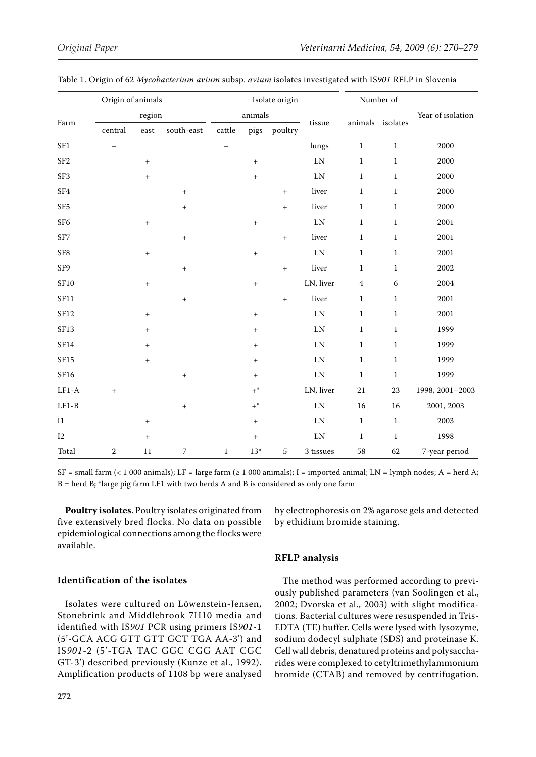| Origin of animals |                                  |                           |                                  | Isolate origin   |                  |                 |            | Number of      |              |                   |
|-------------------|----------------------------------|---------------------------|----------------------------------|------------------|------------------|-----------------|------------|----------------|--------------|-------------------|
| Farm              | region                           |                           |                                  | animals          |                  |                 |            |                |              | Year of isolation |
|                   | $\,$ central                     | $\operatorname{\sf east}$ | south-east                       | $\mbox{cattle}$  | pigs             | poultry         | tissue     | animals        | isolates     |                   |
| SF1               | $\begin{array}{c} + \end{array}$ |                           |                                  | $\boldsymbol{+}$ |                  |                 | lungs      | $\,1$          | $\mathbf 1$  | 2000              |
| SF <sub>2</sub>   |                                  | $\boldsymbol{+}$          |                                  |                  | $\boldsymbol{+}$ |                 | LN         | $\mathbf{1}$   | $1\,$        | 2000              |
| SF <sub>3</sub>   |                                  | $^{+}$                    |                                  |                  | $^{+}$           |                 | LN         | $\mathbf{1}$   | $\mathbf{1}$ | 2000              |
| SF <sub>4</sub>   |                                  |                           | $\begin{array}{c} + \end{array}$ |                  |                  | $^{+}$          | liver      | $\mathbf{1}$   | $1\,$        | 2000              |
| SF <sub>5</sub>   |                                  |                           | $\boldsymbol{+}$                 |                  |                  | $^{+}$          | liver      | $\mathbf{1}$   | $\mathbf{1}$ | 2000              |
| SF <sub>6</sub>   |                                  | $\boldsymbol{+}$          |                                  |                  | $\, +$           |                 | LN         | $\mathbf{1}$   | $\mathbf{1}$ | 2001              |
| SF7               |                                  |                           | $\boldsymbol{+}$                 |                  |                  | $+$             | liver      | $\,1$          | $\,1\,$      | 2001              |
| ${\rm S}{\rm F}8$ |                                  | $\boldsymbol{+}$          |                                  |                  | $^{+}$           |                 | $\rm LN$   | $\mathbf{1}$   | $\mathbf{1}$ | 2001              |
| SF9               |                                  |                           | $\boldsymbol{+}$                 |                  |                  | $^{\mathrm{+}}$ | liver      | $\mathbf{1}$   | $\mathbf{1}$ | 2002              |
| ${\rm SF10}$      |                                  | $\boldsymbol{+}$          |                                  |                  | $\, +$           |                 | LN, liver  | $\overline{4}$ | $\sqrt{6}$   | 2004              |
| <b>SF11</b>       |                                  |                           | $\boldsymbol{+}$                 |                  |                  | $^{+}$          | liver      | $\mathbf{1}$   | $\,1\,$      | 2001              |
| SF12              |                                  | $^{+}$                    |                                  |                  | $^{+}$           |                 | LN         | $\mathbf{1}$   | $\mathbf{1}$ | 2001              |
| SF13              |                                  | $+$                       |                                  |                  | $\, +$           |                 | LN         | $\mathbf{1}$   | $\,1\,$      | 1999              |
| ${\rm SF14}$      |                                  | $\boldsymbol{+}$          |                                  |                  | $\, +$           |                 | LN         | $\,1\,$        | $\mathbf{1}$ | 1999              |
| SF15              |                                  | $+$                       |                                  |                  | $+$              |                 | $\rm LN$   | $\,1$          | $\mathbf{1}$ | 1999              |
| SF16              |                                  |                           | $\boldsymbol{+}$                 |                  | $\, +$           |                 | ${\rm LN}$ | $\,1\,$        | $\mathbf{1}$ | 1999              |
| $LF1-A$           |                                  |                           |                                  |                  | $+$ *            |                 | LN, liver  | $21\,$         | 23           | 1998, 2001-2003   |
| $LF1-B$           |                                  |                           | $\boldsymbol{+}$                 |                  | $+^*$            |                 | LN         | 16             | 16           | 2001, 2003        |
| $\rm{I}1$         |                                  | $\boldsymbol{+}$          |                                  |                  | $\boldsymbol{+}$ |                 | LN         | $1\,$          | $\,1\,$      | 2003              |
| $I2$              |                                  | $\boldsymbol{+}$          |                                  |                  | $\, +$           |                 | ${\rm LN}$ | $\mathbf{1}$   | $\,1\,$      | 1998              |
| Total             | $\sqrt{2}$                       | $11\,$                    | $\sqrt{ }$                       | $\mathbf{1}$     | $13^{\ast}$      | $\sqrt{5}$      | 3 tissues  | 58             | 62           | 7-year period     |

| Table 1. Origin of 62 <i>Mycobacterium avium</i> subsp. <i>avium</i> isolates investigated with IS901 RFLP in Slovenia |  |  |
|------------------------------------------------------------------------------------------------------------------------|--|--|
|------------------------------------------------------------------------------------------------------------------------|--|--|

 $SF = small farm (< 1 000 animals); LF = large farm (> 1 000 animals); I = imported animal; LN = lymph nodes; A = herd A;$  $B = \text{herd } B$ ; \*large pig farm LF1 with two herds A and B is considered as only one farm

**Poultry isolates**. Poultry isolates originated from five extensively bred flocks. No data on possible epidemiological connections among the flocks were available.

by electrophoresis on 2% agarose gels and detected by ethidium bromide staining.

## **RFLP analysis**

## **Identification of the isolates**

Isolates were cultured on Löwenstein-Jensen, Stonebrink and Middlebrook 7H10 media and identified with IS*901* PCR using primers IS*901*-1 (5'-GCA ACG GTT GTT GCT TGA AA-3') and IS*901*-2 (5'-TGA TAC GGC CGG AAT CGC GT-3') described previously (Kunze et al., 1992). Amplification products of 1108 bp were analysed

The method was performed according to previously published parameters (van Soolingen et al., 2002; Dvorska et al., 2003) with slight modifications. Bacterial cultures were resuspended in Tris-EDTA (TE) buffer. Cells were lysed with lysozyme, sodium dodecyl sulphate (SDS) and proteinase K. Cell wall debris, denatured proteins and polysaccharides were complexed to cetyltrimethylammonium bromide (CTAB) and removed by centrifugation.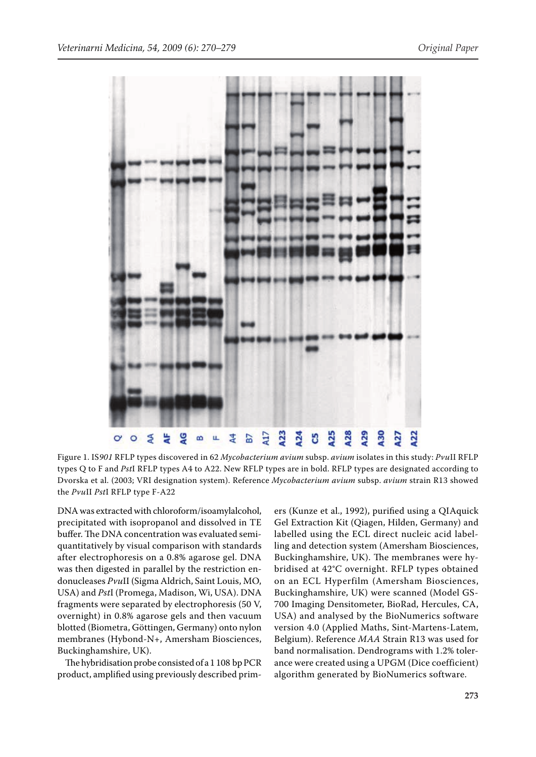

Figure 1. IS*901* RFLP types discovered in 62 *Mycobacterium avium* subsp. *avium* isolates in this study: *Pvu*II RFLP types Q to F and *Pst*I RFLP types A4 to A22. New RFLP types are in bold. RFLP types are designated according to Dvorska et al. (2003; VRI designation system). Reference *Mycobacterium avium* subsp. *avium* strain R13 showed the *Pvu*II *Pst*I RFLP type F-A22

DNA was extracted with chloroform/isoamylalcohol, precipitated with isopropanol and dissolved in TE buffer. The DNA concentration was evaluated semiquantitatively by visual comparison with standards after electrophoresis on a 0.8% agarose gel. DNA was then digested in parallel by the restriction endonucleases *Pvu*II (Sigma Aldrich, Saint Louis, MO, USA) and *Pst*I (Promega, Madison, Wi, USA). DNA fragments were separated by electrophoresis (50 V, overnight) in 0.8% agarose gels and then vacuum blotted (Biometra, Göttingen, Germany) onto nylon membranes (Hybond-N+, Amersham Biosciences, Buckinghamshire, UK).

The hybridisation probe consisted of a 1 108 bp PCR product, amplified using previously described prim-

ers (Kunze et al., 1992), purified using a QIAquick Gel Extraction Kit (Qiagen, Hilden, Germany) and labelled using the ECL direct nucleic acid labelling and detection system (Amersham Biosciences, Buckinghamshire, UK). The membranes were hybridised at 42°C overnight. RFLP types obtained on an ECL Hyperfilm (Amersham Biosciences, Buckinghamshire, UK) were scanned (Model GS-700 Imaging Densitometer, BioRad, Hercules, CA, USA) and analysed by the BioNumerics software version 4.0 (Applied Maths, Sint-Martens-Latem, Belgium). Reference *MAA* Strain R13 was used for band normalisation. Dendrograms with 1.2% tolerance were created using a UPGM (Dice coefficient) algorithm generated by BioNumerics software.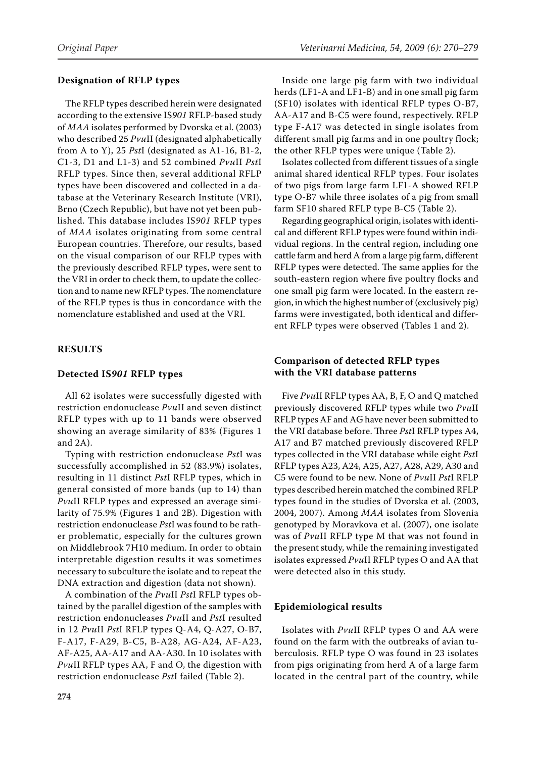## **Designation of RFLP types**

The RFLP types described herein were designated according to the extensive IS*901* RFLP-based study of *MAA* isolates performed by Dvorska et al. (2003) who described 25 *Pvu*II (designated alphabetically from A to Y), 25 *Pst*I (designated as A1-16, B1-2, C1-3, D1 and L1-3) and 52 combined *Pvu*II *Pst*I RFLP types. Since then, several additional RFLP types have been discovered and collected in a database at the Veterinary Research Institute (VRI), Brno (Czech Republic), but have not yet been published. This database includes IS*901* RFLP types of *MAA* isolates originating from some central European countries. Therefore, our results, based on the visual comparison of our RFLP types with the previously described RFLP types, were sent to the VRI in order to check them, to update the collection and to name new RFLP types. The nomenclature of the RFLP types is thus in concordance with the nomenclature established and used at the VRI.

# **RESULTS**

## **Detected IS***901* **RFLP types**

All 62 isolates were successfully digested with restriction endonuclease *Pvu*II and seven distinct RFLP types with up to 11 bands were observed showing an average similarity of 83% (Figures 1 and 2A).

Typing with restriction endonuclease *Pst*I was successfully accomplished in 52 (83.9%) isolates, resulting in 11 distinct *Pst*I RFLP types, which in general consisted of more bands (up to 14) than *Pvu*II RFLP types and expressed an average similarity of 75.9% (Figures 1 and 2B). Digestion with restriction endonuclease *Pst*I was found to be rather problematic, especially for the cultures grown on Middlebrook 7H10 medium. In order to obtain interpretable digestion results it was sometimes necessary to subculture the isolate and to repeat the DNA extraction and digestion (data not shown).

A combination of the *Pvu*II *Pst*I RFLP types obtained by the parallel digestion of the samples with restriction endonucleases *Pvu*II and *Pst*I resulted in 12 *Pvu*II *Pst*I RFLP types Q-A4, Q-A27, O-B7, F-A17, F-A29, B-C5, B-A28, AG-A24, AF-A23, AF-A25, AA-A17 and AA-A30. In 10 isolates with *Pvu*II RFLP types AA, F and O, the digestion with restriction endonuclease *Pst*I failed (Table 2).

Inside one large pig farm with two individual herds (LF1-A and LF1-B) and in one small pig farm (SF10) isolates with identical RFLP types O-B7, AA-A17 and B-C5 were found, respectively. RFLP type F-A17 was detected in single isolates from different small pig farms and in one poultry flock; the other RFLP types were unique (Table 2).

Isolates collected from different tissues of a single animal shared identical RFLP types. Four isolates of two pigs from large farm LF1-A showed RFLP type O-B7 while three isolates of a pig from small farm SF10 shared RFLP type B-C5 (Table 2).

Regarding geographical origin, isolates with identical and different RFLP types were found within individual regions. In the central region, including one cattle farm and herd A from a large pig farm, different RFLP types were detected. The same applies for the south-eastern region where five poultry flocks and one small pig farm were located. In the eastern region, in which the highest number of (exclusively pig) farms were investigated, both identical and different RFLP types were observed (Tables 1 and 2).

# **Comparison of detected RFLP types with the VRI database patterns**

Five *Pvu*II RFLP types AA, B, F, O and Q matched previously discovered RFLP types while two *Pvu*II RFLP types AF and AG have never been submitted to the VRI database before. Three *Pst*I RFLP types A4, A17 and B7 matched previously discovered RFLP types collected in the VRI database while eight *Pst*I RFLP types A23, A24, A25, A27, A28, A29, A30 and C5 were found to be new. None of *Pvu*II *Pst*I RFLP types described herein matched the combined RFLP types found in the studies of Dvorska et al. (2003, 2004, 2007). Among *MAA* isolates from Slovenia genotyped by Moravkova et al. (2007), one isolate was of *Pvu*II RFLP type M that was not found in the present study, while the remaining investigated isolates expressed *Pvu*II RFLP types O and AA that were detected also in this study.

## **Epidemiological results**

Isolates with *Pvu*II RFLP types O and AA were found on the farm with the outbreaks of avian tuberculosis. RFLP type O was found in 23 isolates from pigs originating from herd A of a large farm located in the central part of the country, while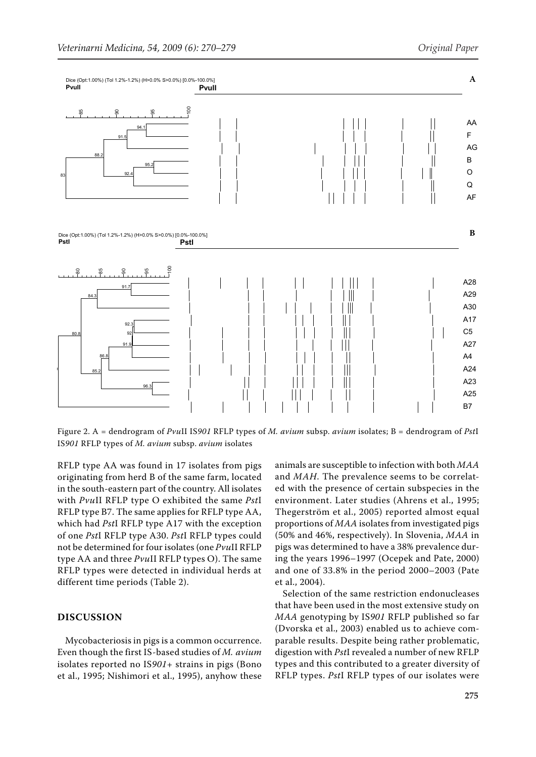

Figure 2. A = dendrogram of *Pvu*II IS*901* RFLP types of *M. avium* subsp. *avium* isolates; B = dendrogram of *Pst*I IS*901* RFLP types of *M. avium* subsp. *avium* isolates

RFLP type AA was found in 17 isolates from pigs originating from herd B of the same farm, located in the south-eastern part of the country. All isolates with *Pvu*II RFLP type O exhibited the same *Pst*I RFLP type B7. The same applies for RFLP type AA, which had *Pst*I RFLP type A17 with the exception of one *Pst*I RFLP type A30. *Pst*I RFLP types could not be determined for four isolates (one *Pvu*II RFLP type AA and three *Pvu*II RFLP types O). The same RFLP types were detected in individual herds at different time periods (Table 2).

## **DISCUSSION**

Mycobacteriosis in pigs is a common occurrence. Even though the first IS-based studies of *M. avium* isolates reported no IS*901*+ strains in pigs (Bono et al., 1995; Nishimori et al., 1995), anyhow these animals are susceptible to infection with both *MAA* and *MAH*. The prevalence seems to be correlated with the presence of certain subspecies in the environment. Later studies (Ahrens et al., 1995; Thegerström et al., 2005) reported almost equal proportions of *MAA* isolates from investigated pigs (50% and 46%, respectively). In Slovenia, *MAA* in pigs was determined to have a 38% prevalence during the years 1996–1997 (Ocepek and Pate, 2000) and one of 33.8% in the period 2000–2003 (Pate et al., 2004).

Selection of the same restriction endonucleases that have been used in the most extensive study on *MAA* genotyping by IS*901* RFLP published so far (Dvorska et al., 2003) enabled us to achieve comparable results. Despite being rather problematic, digestion with *Pst*I revealed a number of new RFLP types and this contributed to a greater diversity of RFLP types. *Pst*I RFLP types of our isolates were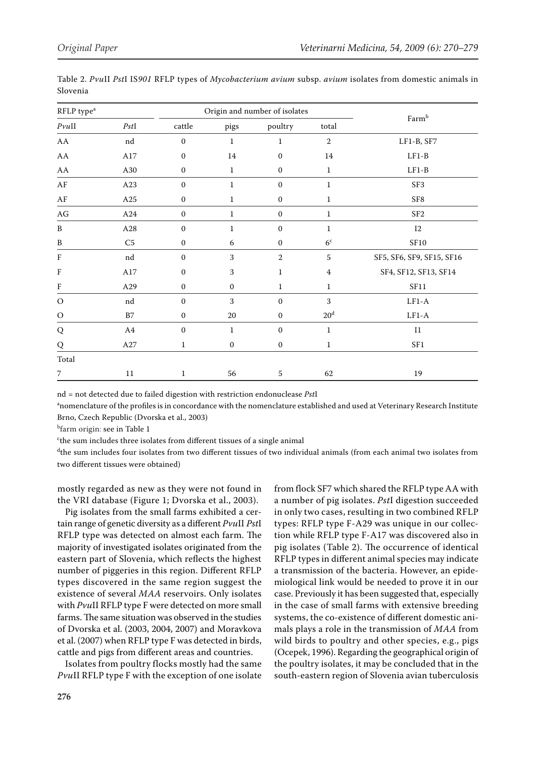| RFLP type <sup>a</sup> |            |                  | Origin and number of isolates |                  |                 |                           |  |
|------------------------|------------|------------------|-------------------------------|------------------|-----------------|---------------------------|--|
| $P\nu u$ II            | PstI       | cattle           | pigs                          | poultry          | total           | Farmb                     |  |
| ${\rm AA}$             | nd         | $\boldsymbol{0}$ | $\mathbf 1$                   | $\,1\,$          | $\sqrt{2}$      | LF1-B, SF7                |  |
| ${\rm AA}$             | $\rm A17$  | $\mathbf{0}$     | 14                            | $\mathbf{0}$     | 14              | $LF1-B$                   |  |
| ${\rm AA}$             | A30        | $\boldsymbol{0}$ | $\mathbf{1}$                  | $\boldsymbol{0}$ | $\mathbf{1}$    | $LF1-B$                   |  |
| $\rm AF$               | A23        | $\boldsymbol{0}$ | $\mathbf{1}$                  | $\boldsymbol{0}$ | $\mathbf{1}$    | SF <sub>3</sub>           |  |
| $\rm AF$               | $\rm A25$  | $\boldsymbol{0}$ | $\mathbf{1}$                  | $\boldsymbol{0}$ | $\mathbf{1}$    | SF8                       |  |
| $\mathbf{AG}$          | A24        | $\boldsymbol{0}$ | $\mathbf{1}$                  | $\boldsymbol{0}$ | $1\,$           | SF <sub>2</sub>           |  |
| B                      | A28        | $\boldsymbol{0}$ | $\mathbf{1}$                  | $\boldsymbol{0}$ | $\mathbf{1}$    | 12                        |  |
| B                      | C5         | $\boldsymbol{0}$ | 6                             | $\boldsymbol{0}$ | $6^{\rm c}$     | ${\rm SF10}$              |  |
| F                      | nd         | $\boldsymbol{0}$ | 3                             | $\,2$            | $\mathbf 5$     | SF5, SF6, SF9, SF15, SF16 |  |
| F                      | $\rm A17$  | $\mathbf{0}$     | 3                             | $\mathbf{1}$     | 4               | SF4, SF12, SF13, SF14     |  |
| F                      | A29        | $\mathbf{0}$     | $\mathbf{0}$                  | $\mathbf{1}$     | $\mathbf{1}$    | SF11                      |  |
| $\mathcal O$           | nd         | $\mathbf{0}$     | 3                             | $\mathbf{0}$     | 3               | $LF1-A$                   |  |
| $\mathcal{O}$          | B7         | $\mathbf{0}$     | 20                            | $\boldsymbol{0}$ | 20 <sup>d</sup> | $LF1-A$                   |  |
| ${\bf Q}$              | ${\bf A4}$ | $\boldsymbol{0}$ | $\mathbf 1$                   | $\boldsymbol{0}$ | $1\,$           | $\rm I1$                  |  |
| Q                      | $\rm A27$  | $\mathbf{1}$     | $\mathbf{0}$                  | $\mathbf{0}$     | $\mathbf{1}$    | SF1                       |  |
| Total                  |            |                  |                               |                  |                 |                           |  |
| $\overline{7}$         | 11         | $\mathbf{1}$     | 56                            | 5                | 62              | 19                        |  |

Table 2. *Pvu*II *Pst*I IS*901* RFLP types of *Mycobacterium avium* subsp. *avium* isolates from domestic animals in Slovenia

nd = not detected due to failed digestion with restriction endonuclease *Pst*I

a nomenclature of the profiles is in concordance with the nomenclature established and used at Veterinary Research Institute Brno, Czech Republic (Dvorska et al., 2003)

<sup>b</sup>farm origin: see in Table 1

c the sum includes three isolates from different tissues of a single animal

d the sum includes four isolates from two different tissues of two individual animals (from each animal two isolates from two different tissues were obtained)

mostly regarded as new as they were not found in the VRI database (Figure 1; Dvorska et al., 2003).

Pig isolates from the small farms exhibited a certain range of genetic diversity as a different *Pvu*II *Pst*I RFLP type was detected on almost each farm. The majority of investigated isolates originated from the eastern part of Slovenia, which reflects the highest number of piggeries in this region. Different RFLP types discovered in the same region suggest the existence of several *MAA* reservoirs. Only isolates with *Pvu*II RFLP type F were detected on more small farms. The same situation was observed in the studies of Dvorska et al. (2003, 2004, 2007) and Moravkova et al. (2007) when RFLP type F was detected in birds, cattle and pigs from different areas and countries.

Isolates from poultry flocks mostly had the same *Pvu*II RFLP type F with the exception of one isolate from flock SF7 which shared the RFLP type AA with a number of pig isolates. *Pst*I digestion succeeded in only two cases, resulting in two combined RFLP types: RFLP type F-A29 was unique in our collection while RFLP type F-A17 was discovered also in pig isolates (Table 2). The occurrence of identical RFLP types in different animal species may indicate a transmission of the bacteria. However, an epidemiological link would be needed to prove it in our case. Previously it has been suggested that, especially in the case of small farms with extensive breeding systems, the co-existence of different domestic animals plays a role in the transmission of *MAA* from wild birds to poultry and other species, e.g., pigs (Ocepek, 1996). Regarding the geographical origin of the poultry isolates, it may be concluded that in the south-eastern region of Slovenia avian tuberculosis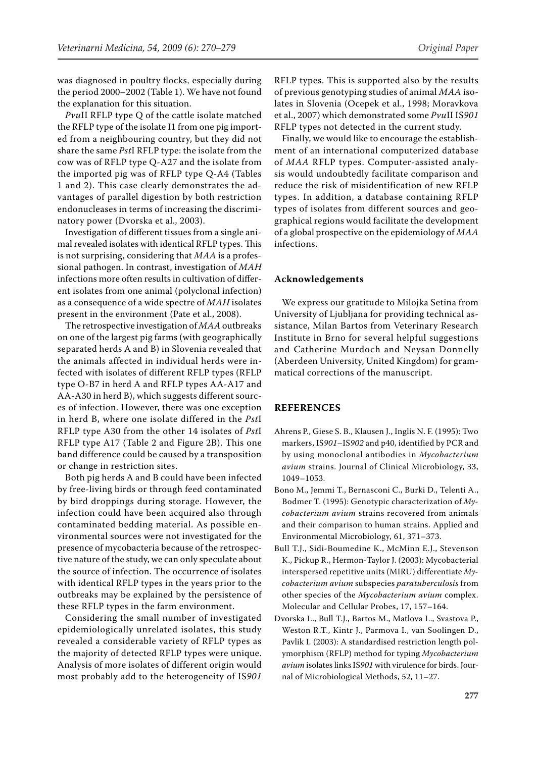was diagnosed in poultry flocks, especially during the period 2000–2002 (Table 1). We have not found the explanation for this situation.

*Pvu*II RFLP type Q of the cattle isolate matched the RFLP type of the isolate I1 from one pig imported from a neighbouring country, but they did not share the same *Pst*I RFLP type: the isolate from the cow was of RFLP type Q-A27 and the isolate from the imported pig was of RFLP type Q-A4 (Tables 1 and 2). This case clearly demonstrates the advantages of parallel digestion by both restriction endonucleases in terms of increasing the discriminatory power (Dvorska et al., 2003).

Investigation of different tissues from a single animal revealed isolates with identical RFLP types. This is not surprising, considering that *MAA* is a professional pathogen. In contrast, investigation of *MAH* infections more often results in cultivation of different isolates from one animal (polyclonal infection) as a consequence of a wide spectre of *MAH* isolates present in the environment (Pate et al., 2008).

The retrospective investigation of *MAA* outbreaks on one of the largest pig farms (with geographically separated herds A and B) in Slovenia revealed that the animals affected in individual herds were infected with isolates of different RFLP types (RFLP type O-B7 in herd A and RFLP types AA-A17 and AA-A30 in herd B), which suggests different sources of infection. However, there was one exception in herd B, where one isolate differed in the *Pst*I RFLP type A30 from the other 14 isolates of *Pst*I RFLP type A17 (Table 2 and Figure 2B). This one band difference could be caused by a transposition or change in restriction sites.

Both pig herds A and B could have been infected by free-living birds or through feed contaminated by bird droppings during storage. However, the infection could have been acquired also through contaminated bedding material. As possible environmental sources were not investigated for the presence of mycobacteria because of the retrospective nature of the study, we can only speculate about the source of infection. The occurrence of isolates with identical RFLP types in the years prior to the outbreaks may be explained by the persistence of these RFLP types in the farm environment.

Considering the small number of investigated epidemiologically unrelated isolates, this study revealed a considerable variety of RFLP types as the majority of detected RFLP types were unique. Analysis of more isolates of different origin would most probably add to the heterogeneity of IS*901*

RFLP types. This is supported also by the results of previous genotyping studies of animal *MAA* isolates in Slovenia (Ocepek et al., 1998; Moravkova et al., 2007) which demonstrated some *Pvu*II IS*901* RFLP types not detected in the current study.

Finally, we would like to encourage the establishment of an international computerized database of *MAA* RFLP types. Computer-assisted analysis would undoubtedly facilitate comparison and reduce the risk of misidentification of new RFLP types. In addition, a database containing RFLP types of isolates from different sources and geographical regions would facilitate the development of a global prospective on the epidemiology of *MAA* infections.

## **Acknowledgements**

We express our gratitude to Milojka Setina from University of Ljubljana for providing technical assistance, Milan Bartos from Veterinary Research Institute in Brno for several helpful suggestions and Catherine Murdoch and Neysan Donnelly (Aberdeen University, United Kingdom) for grammatical corrections of the manuscript.

## **REFERENCES**

- Ahrens P., Giese S. B., Klausen J., Inglis N. F. (1995): Two markers, IS*901*–IS*902* and p40, identified by PCR and by using monoclonal antibodies in *Mycobacterium avium* strains. Journal of Clinical Microbiology, 33, 1049–1053.
- Bono M., Jemmi T., Bernasconi C., Burki D., Telenti A., Bodmer T. (1995): Genotypic characterization of *Mycobacterium avium* strains recovered from animals and their comparison to human strains. Applied and Environmental Microbiology, 61, 371–373.
- Bull T.J., Sidi-Boumedine K., McMinn E.J., Stevenson K., Pickup R., Hermon-Taylor J. (2003): Mycobacterial interspersed repetitive units (MIRU) differentiate *Mycobacterium avium* subspecies *paratuberculosis* from other species of the *Mycobacterium avium* complex. Molecular and Cellular Probes, 17, 157–164.
- Dvorska L., Bull T.J., Bartos M., Matlova L., Svastova P., Weston R.T., Kintr J., Parmova I., van Soolingen D., Pavlik I. (2003): A standardised restriction length polymorphism (RFLP) method for typing *Mycobacterium avium* isolates links IS*901* with virulence for birds. Journal of Microbiological Methods, 52, 11–27.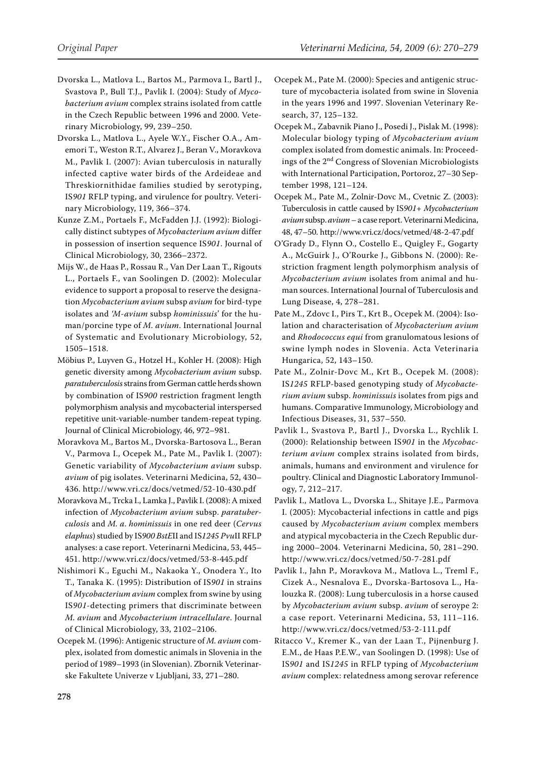- Dvorska L., Matlova L., Bartos M., Parmova I., Bartl J., Svastova P., Bull T.J., Pavlik I. (2004): Study of *Mycobacterium avium* complex strains isolated from cattle in the Czech Republic between 1996 and 2000. Veterinary Microbiology, 99, 239–250.
- Dvorska L., Matlova L., Ayele W.Y., Fischer O.A., Amemori T., Weston R.T., Alvarez J., Beran V., Moravkova M., Pavlik I. (2007): Avian tuberculosis in naturally infected captive water birds of the Ardeideae and Threskiornithidae families studied by serotyping, IS*901* RFLP typing, and virulence for poultry. Veterinary Microbiology, 119, 366–374.
- Kunze Z.M., Portaels F., McFadden J.J. (1992): Biologically distinct subtypes of *Mycobacterium avium* differ in possession of insertion sequence IS*901*. Journal of Clinical Microbiology, 30, 2366–2372.
- Mijs W., de Haas P., Rossau R., Van Der Laan T., Rigouts L., Portaels F., van Soolingen D. (2002): Molecular evidence to support a proposal to reserve the designation *Mycobacterium avium* subsp *avium* for bird-type isolates and *'M-avium* subsp *hominissuis*' for the human/porcine type of *M. avium*. International Journal of Systematic and Evolutionary Microbiology, 52, 1505–1518.
- Möbius P., Luyven G., Hotzel H., Kohler H. (2008): High genetic diversity among *Mycobacterium avium* subsp. *paratuberculosis* strains from German cattle herds shown by combination of IS*900* restriction fragment length polymorphism analysis and mycobacterial interspersed repetitive unit-variable-number tandem-repeat typing. Journal of Clinical Microbiology, 46, 972–981.
- Moravkova M., Bartos M., Dvorska-Bartosova L., Beran V., Parmova I., Ocepek M., Pate M., Pavlik I. (2007): Genetic variability of *Mycobacterium avium* subsp. *avium* of pig isolates. Veterinarni Medicina, 52, 430– 436. http://www.vri.cz/docs/vetmed/52-10-430.pdf
- Moravkova M., Trcka I., Lamka J., Pavlik I. (2008): A mixed infection of *Mycobacterium avium* subsp. *paratuberculosis* and *M. a*. *hominissuis* in one red deer (*Cervus elaphus*) studied by IS*900 BstE*II and IS*1245 Pvu*II RFLP analyses: a case report. Veterinarni Medicina, 53, 445– 451. http://www.vri.cz/docs/vetmed/53-8-445.pdf
- Nishimori K., Eguchi M., Nakaoka Y., Onodera Y., Ito T., Tanaka K. (1995): Distribution of IS*901* in strains of *Mycobacterium avium* complex from swine by using IS*901*-detecting primers that discriminate between *M. avium* and *Mycobacterium intracellulare*. Journal of Clinical Microbiology, 33, 2102–2106.
- Ocepek M. (1996): Antigenic structure of *M. avium* complex, isolated from domestic animals in Slovenia in the period of 1989–1993 (in Slovenian). Zbornik Veterinarske Fakultete Univerze v Ljubljani, 33, 271–280.
- Ocepek M., Pate M. (2000): Species and antigenic structure of mycobacteria isolated from swine in Slovenia in the years 1996 and 1997. Slovenian Veterinary Research, 37, 125–132.
- Ocepek M., Zabavnik Piano J., Posedi J., Pislak M. (1998): Molecular biology typing of *Mycobacterium avium* complex isolated from domestic animals. In: Proceedings of the 2nd Congress of Slovenian Microbiologists with International Participation, Portoroz, 27–30 September 1998, 121–124.
- Ocepek M., Pate M., Zolnir-Dovc M., Cvetnic Z. (2003): Tuberculosis in cattle caused by IS*901*+ *Mycobacterium avium* subsp. *avium* – a case report. Veterinarni Medicina, 48, 47–50. http://www.vri.cz/docs/vetmed/48-2-47.pdf
- O'Grady D., Flynn O., Costello E., Quigley F., Gogarty A., McGuirk J., O'Rourke J., Gibbons N. (2000): Restriction fragment length polymorphism analysis of *Mycobacterium avium* isolates from animal and human sources. International Journal of Tuberculosis and Lung Disease, 4, 278–281.
- Pate M., Zdovc I., Pirs T., Krt B., Ocepek M. (2004): Isolation and characterisation of *Mycobacterium avium* and *Rhodococcus equi* from granulomatous lesions of swine lymph nodes in Slovenia. Acta Veterinaria Hungarica, 52, 143–150.
- Pate M., Zolnir-Dovc M., Krt B., Ocepek M. (2008): IS*1245* RFLP-based genotyping study of *Mycobacterium avium* subsp. *hominissuis* isolates from pigs and humans. Comparative Immunology, Microbiology and Infectious Diseases, 31, 537–550.
- Pavlik I., Svastova P., Bartl J., Dvorska L., Rychlik I. (2000): Relationship between IS*901* in the *Mycobacterium avium* complex strains isolated from birds, animals, humans and environment and virulence for poultry. Clinical and Diagnostic Laboratory Immunology, 7, 212–217.
- Pavlik I., Matlova L., Dvorska L., Shitaye J.E., Parmova I. (2005): Mycobacterial infections in cattle and pigs caused by *Mycobacterium avium* complex members and atypical mycobacteria in the Czech Republic during 2000–2004. Veterinarni Medicina, 50, 281–290. http://www.vri.cz/docs/vetmed/50-7-281.pdf
- Pavlik I., Jahn P., Moravkova M., Matlova L., Treml F., Cizek A., Nesnalova E., Dvorska-Bartosova L., Halouzka R. (2008): Lung tuberculosis in a horse caused by *Mycobacterium avium* subsp. *avium* of seroype 2: a case report. Veterinarni Medicina, 53, 111–116. http://www.vri.cz/docs/vetmed/53-2-111.pdf
- Ritacco V., Kremer K., van der Laan T., Pijnenburg J. E.M., de Haas P.E.W., van Soolingen D. (1998): Use of IS*901* and IS*1245* in RFLP typing of *Mycobacterium avium* complex: relatedness among serovar reference